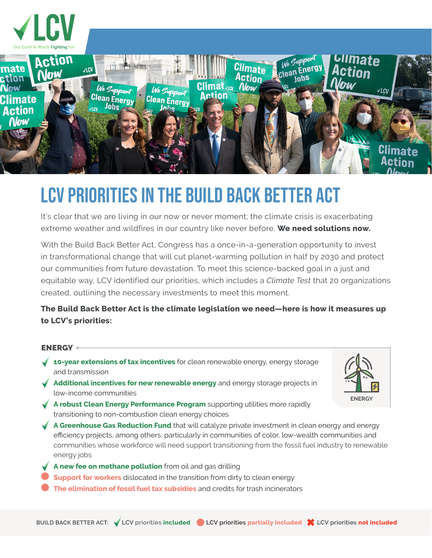

# LCV Priorities in the Build Back Better Act

It's clear that we are living in our now or never moment; the climate crisis is exacerbating extreme weather and wildfires in our country like never before. **We need solutions now.**

With the Build Back Better Act, Congress has a once-in-a-generation opportunity to invest in transformational change that will cut planet-warming pollution in half by 2030 and protect our communities from future devastation. To meet this science-backed goal in a just and equitable way, LCV identified our priorities, which includes a *Climate Test* that 20 organizations created, outlining the necessary investments to meet this moment.

# **The Build Back Better Act is the climate legislation we need—here is how it measures up to LCV's priorities:**

### ENERGY

- **10-year extensions of tax incentives** for clean renewable energy, energy storage and transmission
- **Additional incentives for new renewable energy** and energy storage projects in low-income communities
- **A robust Clean Energy Performance Program** supporting utilities more rapidly transitioning to non-combustion clean energy choices
- **A Greenhouse Gas Reduction Fund** that will catalyze private investment in clean energy and energy efficiency projects, among others, particularly in communities of color, low-wealth communities and communities whose workforce will need support transitioning from the fossil fuel industry to renewable energy jobs
- **A new fee on methane pollution** from oil and gas drilling
- **Support for workers** dislocated in the transition from dirty to clean energy
- **The elimination of fossil fuel tax subsidies** and credits for trash incinerators

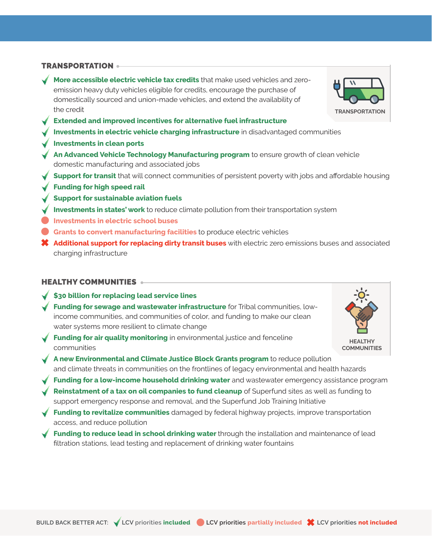#### TRANSPORTATION

- **More accessible electric vehicle tax credits** that make used vehicles and zeroemission heavy duty vehicles eligible for credits, encourage the purchase of domestically sourced and union-made vehicles, and extend the availability of the credit
- **Extended and improved incentives for alternative fuel infrastructure**
- **Investments in electric vehicle charging infrastructure** in disadvantaged communities
- **Investments in clean ports**
- **An Advanced Vehicle Technology Manufacturing program** to ensure growth of clean vehicle domestic manufacturing and associated jobs
- **Support for transit** that will connect communities of persistent poverty with jobs and affordable housing
- **Funding for high speed rail**
- **Support for sustainable aviation fuels**
- **Investments in states' work** to reduce climate pollution from their transportation system
- **Investments in electric school buses**
- **Grants to convert manufacturing facilities** to produce electric vehicles
- ✖ **Additional support for replacing dirty transit buses** with electric zero emissions buses and associated charging infrastructure

#### HEALTHY COMMUNITIES

- **\$30 billion for replacing lead service lines**
- **Funding for sewage and wastewater infrastructure** for Tribal communities, lowincome communities, and communities of color, and funding to make our clean water systems more resilient to climate change
- **Funding for air quality monitoring** in environmental justice and fenceline communities
- **A new Environmental and Climate Justice Block Grants program** to reduce pollution and climate threats in communities on the frontlines of legacy environmental and health hazards
- **Funding for a low-income household drinking water** and wastewater emergency assistance program
- **Reinstatment of a tax on oil companies to fund cleanup** of Superfund sites as well as funding to support emergency response and removal, and the Superfund Job Training Initiative
- **Funding to revitalize communities** damaged by federal highway projects, improve transportation access, and reduce pollution
- **Funding to reduce lead in school drinking water** through the installation and maintenance of lead filtration stations, lead testing and replacement of drinking water fountains



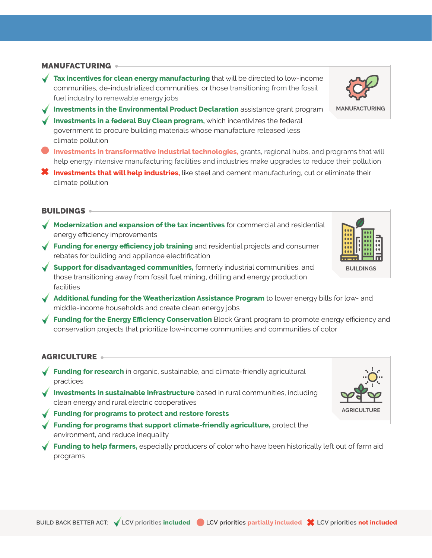#### **MANUFACTURING**

- **Tax incentives for clean energy manufacturing** that will be directed to low-income communities, de-industrialized communities, or those transitioning from the fossil fuel industry to renewable energy jobs
- **Investments in the Environmental Product Declaration** assistance grant program **Investments in a federal Buy Clean program,** which incentivizes the federal government to procure building materials whose manufacture released less climate pollution
- **Investments in transformative industrial technologies,** grants, regional hubs, and programs that will help energy intensive manufacturing facilities and industries make upgrades to reduce their pollution
- ✖ **Investments that will help industries,** like steel and cement manufacturing, cut or eliminate their climate pollution

#### BUILDINGS

- **Modernization and expansion of the tax incentives** for commercial and residential energy efficiency improvements
- **Funding for energy efficiency job training** and residential projects and consumer rebates for building and appliance electrification
- **Support for disadvantaged communities,** formerly industrial communities, and those transitioning away from fossil fuel mining, drilling and energy production facilities
- ◆ **Additional funding for the Weatherization Assistance Program** to lower energy bills for low- and middle-income households and create clean energy jobs
- **Funding for the Energy Efficiency Conservation** Block Grant program to promote energy efficiency and conservation projects that prioritize low-income communities and communities of color

## AGRICULTURE

- **Funding for research** in organic, sustainable, and climate-friendly agricultural practices
- **Investments in sustainable infrastructure** based in rural communities, including clean energy and rural electric cooperatives
- **Funding for programs to protect and restore forests**
- **Funding for programs that support climate-friendly agriculture,** protect the environment, and reduce inequality
- **Funding to help farmers,** especially producers of color who have been historically left out of farm aid programs